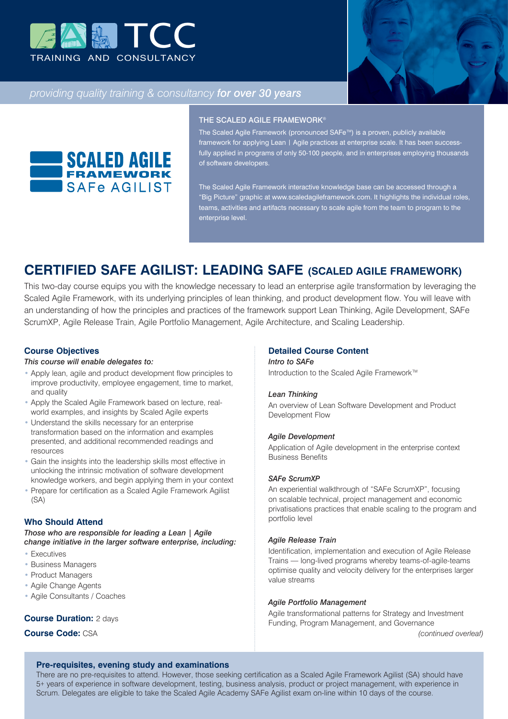



# *providing quality training & consultancy for over 30 years*



#### THE SCALED AGILE FRAMEWORK®

The Scaled Agile Framework (pronounced SAFe™) is a proven, publicly available framework for applying Lean | Agile practices at enterprise scale. It has been successfully applied in programs of only 50-100 people, and in enterprises employing thousands of software developers.

The Scaled Agile Framework interactive knowledge base can be accessed through a "Big Picture" graphic at www.scaledagileframework.com. It highlights the individual roles, teams, activities and artifacts necessary to scale agile from the team to program to the enterprise level.

# **CERTIFIED SAFE AGILIST: LEADING SAFE (SCALED AGILE FRAMEWORK)**

This two-day course equips you with the knowledge necessary to lead an enterprise agile transformation by leveraging the Scaled Agile Framework, with its underlying principles of lean thinking, and product development flow. You will leave with an understanding of how the principles and practices of the framework support Lean Thinking, Agile Development, SAFe ScrumXP, Agile Release Train, Agile Portfolio Management, Agile Architecture, and Scaling Leadership.

# **Course Objectives**

#### *This course will enable delegates to:*

- Apply lean, agile and product development flow principles to improve productivity, employee engagement, time to market, and quality
- Apply the Scaled Agile Framework based on lecture, realworld examples, and insights by Scaled Agile experts
- Understand the skills necessary for an enterprise transformation based on the information and examples presented, and additional recommended readings and resources
- Gain the insights into the leadership skills most effective in unlocking the intrinsic motivation of software development knowledge workers, and begin applying them in your context
- Prepare for certification as a Scaled Agile Framework Agilist (SA)

# **Who Should Attend**

*Those who are responsible for leading a Lean | Agile change initiative in the larger software enterprise, including:*

- Executives
- Business Managers
- Product Managers
- Agile Change Agents
- Agile Consultants / Coaches

# **Course Duration:** 2 days

**Course Code:** CSA

# **Detailed Course Content**

#### *Intro to SAFe*

Introduction to the Scaled Agile Framework™

#### *Lean Thinking*

An overview of Lean Software Development and Product Development Flow

#### *Agile Development*

Application of Agile development in the enterprise context Business Benefits

#### *SAFe ScrumXP*

An experiential walkthrough of "SAFe ScrumXP", focusing on scalable technical, project management and economic privatisations practices that enable scaling to the program and portfolio level

# *Agile Release Train*

Identification, implementation and execution of Agile Release Trains — long-lived programs whereby teams-of-agile-teams optimise quality and velocity delivery for the enterprises larger value streams

#### *Agile Portfolio Management*

Agile transformational patterns for Strategy and Investment Funding, Program Management, and Governance

*(continued overleaf)*

# **Pre-requisites, evening study and examinations**

There are no pre-requisites to attend. However, those seeking certification as a Scaled Agile Framework Agilist (SA) should have 5+ years of experience in software development, testing, business analysis, product or project management, with experience in Scrum. Delegates are eligible to take the Scaled Agile Academy SAFe Agilist exam on-line within 10 days of the course.